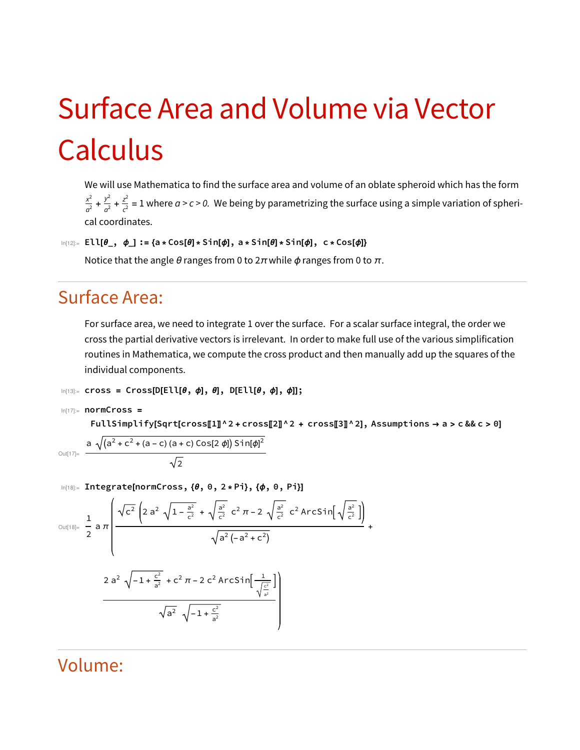## Surface Area and Volume via Vector Calculus

We will use Mathematica to find the surface area and volume of an oblate spheroid which has the form  $\frac{x^2}{a^2}+\frac{y^2}{c^2}$  = 1 where  $a$  >  $c$  > 0. We being by parametrizing the surface using a simple variation of spherical coordinates.

```
In[12]:= Ell[\theta_-, \phi_]: = \{a * Cos[\theta] * Sin[\phi], a * Sin[\theta] * Sin[\phi], c * Cos[\phi]\}
```
Notice that the angle  $\theta$  ranges from 0 to  $2\pi$  while  $\phi$  ranges from 0 to  $\pi$ .

## Surface Area:

For surface area, we need to integrate 1 over the surface. For a scalar surface integral, the order we cross the partial derivative vectors is irrelevant. In order to make full use of the various simplification routines in Mathematica, we compute the cross product and then manually add up the squares of the individual components.

```
In[13]:= cross = Cross[D[Ell[\theta, \phi], \theta], D[Ell[\theta, \phi], \phi]];
```

```
In[17]:= normCross =
```
Outl

FullSimplify[Sqrt[cross[[1]^2 + cross[[2]]^2 + cross[[3]]^2], Assumptions  $\rightarrow$  a > c && c > 0]

$$
\int_{|z| = \frac{\mathsf{a} \sqrt{(a^2 + c^2 + (a - c) (a + c) \cos[2 \phi]) \sin[\phi]^2}}{\sqrt{2}}}
$$

In[18]:= Integrate[normCross, {θ, 0, 2 \* Pi}, {ϕ, 0, Pi}]

$$
\frac{1}{2} \text{ and } \frac{\sqrt{c^2} \left(2 a^2 \sqrt{1 - \frac{a^2}{c^2}} + \sqrt{\frac{a^2}{c^2}} c^2 \pi - 2 \sqrt{\frac{a^2}{c^2}} c^2 \text{Arcsin} \left(\sqrt{\frac{a^2}{c^2}}\right)\right)}{\sqrt{a^2 \left(-a^2 + c^2\right)}} + \frac{2 a^2 \sqrt{-1 + \frac{c^2}{a^2}} + c^2 \pi - 2 c^2 \text{Arcsin} \left(\frac{1}{\sqrt{\frac{c^2}{a^2}}}\right)}{\sqrt{a^2} \sqrt{-1 + \frac{c^2}{a^2}}}
$$

## Volume: